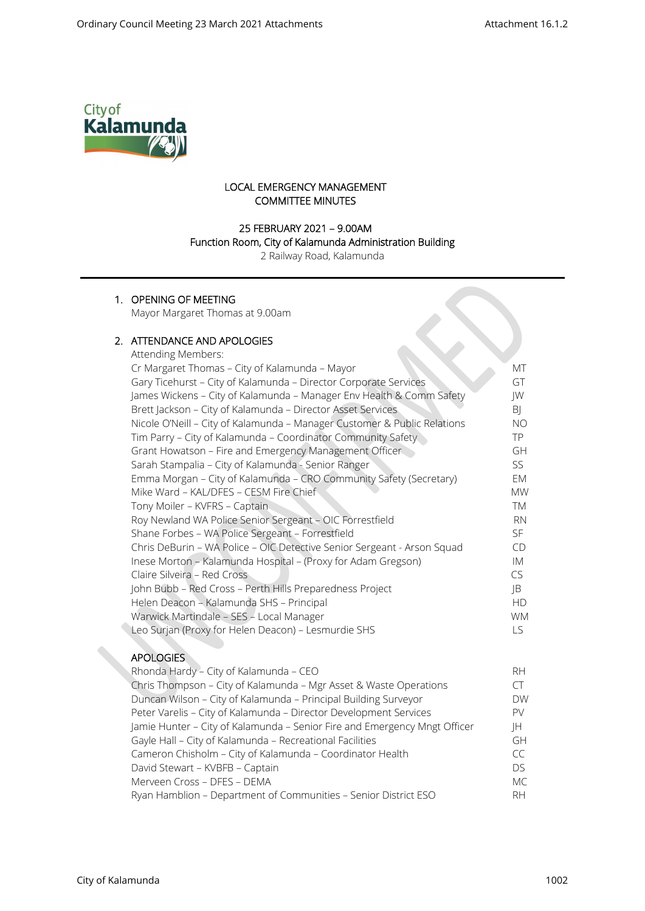

# LOCAL EMERGENCY MANAGEMENT COMMITTEE MINUTES

# 25 FEBRUARY 2021 – 9.00AM

#### Function Room, City of Kalamunda Administration Building

2 Railway Road, Kalamunda

# 1. OPENING OF MEETING

Mayor Margaret Thomas at 9.00am

# 2. ATTENDANCE AND APOLOGIES

| Attending Members:                                                       |           |
|--------------------------------------------------------------------------|-----------|
| Cr Margaret Thomas - City of Kalamunda - Mayor                           | МT        |
| Gary Ticehurst - City of Kalamunda - Director Corporate Services         | GT        |
| James Wickens - City of Kalamunda - Manager Env Health & Comm Safety     | JW        |
| Brett Jackson - City of Kalamunda - Director Asset Services              | BJ        |
| Nicole O'Neill - City of Kalamunda - Manager Customer & Public Relations | ΝO        |
| Tim Parry - City of Kalamunda - Coordinator Community Safety             | TP.       |
| Grant Howatson - Fire and Emergency Management Officer                   | GH        |
| Sarah Stampalia - City of Kalamunda - Senior Ranger                      | SS.       |
| Emma Morgan - City of Kalamunda - CRO Community Safety (Secretary)       | EM        |
| Mike Ward - KAL/DFES - CESM Fire Chief                                   | <b>MW</b> |
| Tony Moiler - KVFRS - Captain                                            | TM        |
| Roy Newland WA Police Senior Sergeant - OIC Forrestfield                 | <b>RN</b> |
| Shane Forbes - WA Police Sergeant - Forrestfield                         | SF.       |
| Chris DeBurin - WA Police - OIC Detective Senior Sergeant - Arson Squad  | CD        |
| Inese Morton - Kalamunda Hospital - (Proxy for Adam Gregson)             | IM        |
| Claire Silveira - Red Cross                                              | CS.       |
| John Bubb - Red Cross - Perth Hills Preparedness Project                 | JB        |
| Helen Deacon - Kalamunda SHS - Principal                                 | <b>HD</b> |
| Warwick Martindale - SES - Local Manager                                 | <b>WM</b> |
| Leo Surjan (Proxy for Helen Deacon) - Lesmurdie SHS                      | LS.       |
|                                                                          |           |

# **APOLOGIES**

| Rhonda Hardy - City of Kalamunda - CEO                                    | RH.              |
|---------------------------------------------------------------------------|------------------|
| Chris Thompson - City of Kalamunda - Mgr Asset & Waste Operations         |                  |
| Duncan Wilson - City of Kalamunda - Principal Building Surveyor           | <b>DW</b>        |
| Peter Varelis - City of Kalamunda - Director Development Services         | PV.              |
| Jamie Hunter - City of Kalamunda - Senior Fire and Emergency Mngt Officer | IH.              |
| Gayle Hall - City of Kalamunda - Recreational Facilities                  | GH               |
| Cameron Chisholm - City of Kalamunda - Coordinator Health                 | $\subset\subset$ |
| David Stewart - KVBFB - Captain                                           | DS.              |
| Merveen Cross - DFES - DEMA                                               | MC               |
| Ryan Hamblion - Department of Communities - Senior District ESO           | RH.              |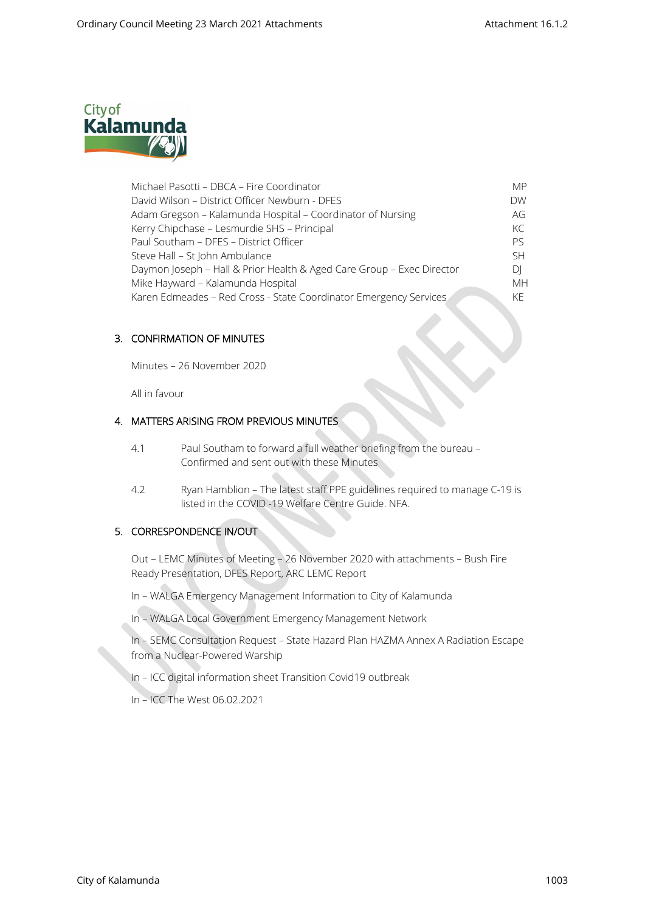

| Michael Pasotti - DBCA - Fire Coordinator                             | <b>MP</b> |
|-----------------------------------------------------------------------|-----------|
| David Wilson - District Officer Newburn - DFES                        | <b>DW</b> |
| Adam Gregson - Kalamunda Hospital - Coordinator of Nursing            | AG        |
| Kerry Chipchase - Lesmurdie SHS - Principal                           | KC        |
| Paul Southam - DFES - District Officer                                | Pς        |
| Steve Hall - St John Ambulance                                        | <b>SH</b> |
| Daymon Joseph - Hall & Prior Health & Aged Care Group - Exec Director | DΙ        |
| Mike Hayward - Kalamunda Hospital                                     | <b>MH</b> |
| Karen Edmeades - Red Cross - State Coordinator Emergency Services     | KF.       |

### 3. CONFIRMATION OF MINUTES

Minutes – 26 November 2020

All in favour

# 4. MATTERS ARISING FROM PREVIOUS MINUTES

- 4.1 Paul Southam to forward a full weather briefing from the bureau Confirmed and sent out with these Minutes
- 4.2 Ryan Hamblion The latest staff PPE guidelines required to manage C-19 is listed in the COVID -19 Welfare Centre Guide. NFA.

### 5. CORRESPONDENCE IN/OUT

Out – LEMC Minutes of Meeting – 26 November 2020 with attachments – Bush Fire Ready Presentation, DFES Report, ARC LEMC Report

In – WALGA Emergency Management Information to City of Kalamunda

In – WALGA Local Government Emergency Management Network

In – SEMC Consultation Request – State Hazard Plan HAZMA Annex A Radiation Escape from a Nuclear-Powered Warship

In – ICC digital information sheet Transition Covid19 outbreak

In – ICC The West 06.02.2021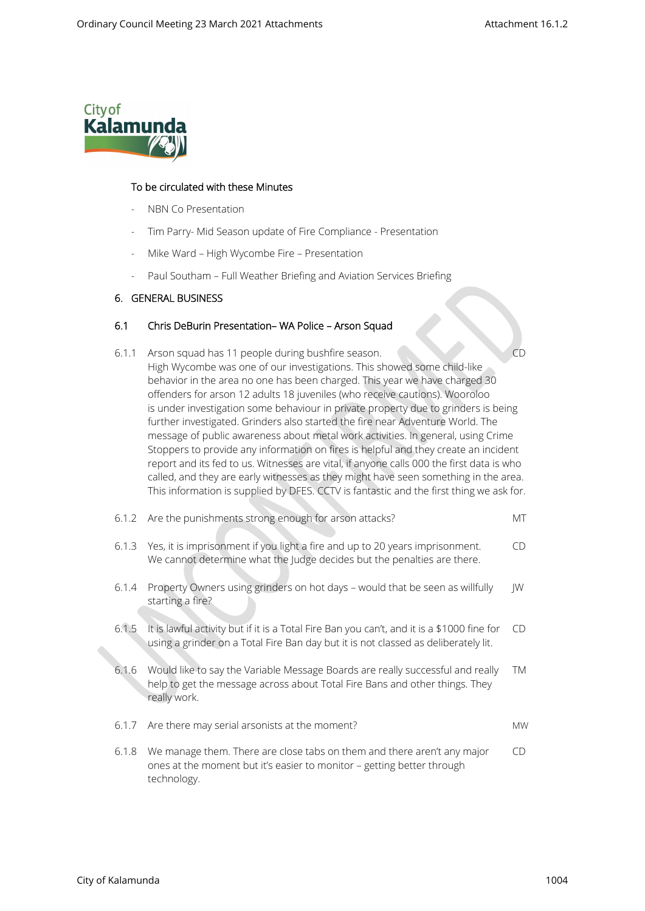

#### To be circulated with these Minutes

- NBN Co Presentation
- Tim Parry- Mid Season update of Fire Compliance Presentation
- Mike Ward High Wycombe Fire Presentation
- Paul Southam Full Weather Briefing and Aviation Services Briefing

#### 6. GENERAL BUSINESS

### 6.1 Chris DeBurin Presentation– WA Police – Arson Squad

6.1.1 Arson squad has 11 people during bushfire season. CD High Wycombe was one of our investigations. This showed some child-like behavior in the area no one has been charged. This year we have charged 30 offenders for arson 12 adults 18 juveniles (who receive cautions). Wooroloo is under investigation some behaviour in private property due to grinders is being further investigated. Grinders also started the fire near Adventure World. The message of public awareness about metal work activities. In general, using Crime Stoppers to provide any information on fires is helpful and they create an incident report and its fed to us. Witnesses are vital, if anyone calls 000 the first data is who called, and they are early witnesses as they might have seen something in the area. This information is supplied by DFES. CCTV is fantastic and the first thing we ask for.

| 6.1.2 | Are the punishments strong enough for arson attacks?                                                                                                                             | МT        |
|-------|----------------------------------------------------------------------------------------------------------------------------------------------------------------------------------|-----------|
| 6.1.3 | Yes, it is imprisonment if you light a fire and up to 20 years imprisonment.<br>We cannot determine what the Judge decides but the penalties are there.                          | CD.       |
| 6.1.4 | Property Owners using grinders on hot days - would that be seen as willfully<br>starting a fire?                                                                                 | IW        |
| 6.1.5 | It is lawful activity but if it is a Total Fire Ban you can't, and it is a \$1000 fine for<br>using a grinder on a Total Fire Ban day but it is not classed as deliberately lit. | CD.       |
| 6.1.6 | Would like to say the Variable Message Boards are really successful and really<br>help to get the message across about Total Fire Bans and other things. They<br>really work.    | TM        |
| 6.1.7 | Are there may serial arsonists at the moment?                                                                                                                                    | <b>MW</b> |
| 6.1.8 | We manage them. There are close tabs on them and there aren't any major<br>ones at the moment but it's easier to monitor - getting better through<br>technology.                 | CD        |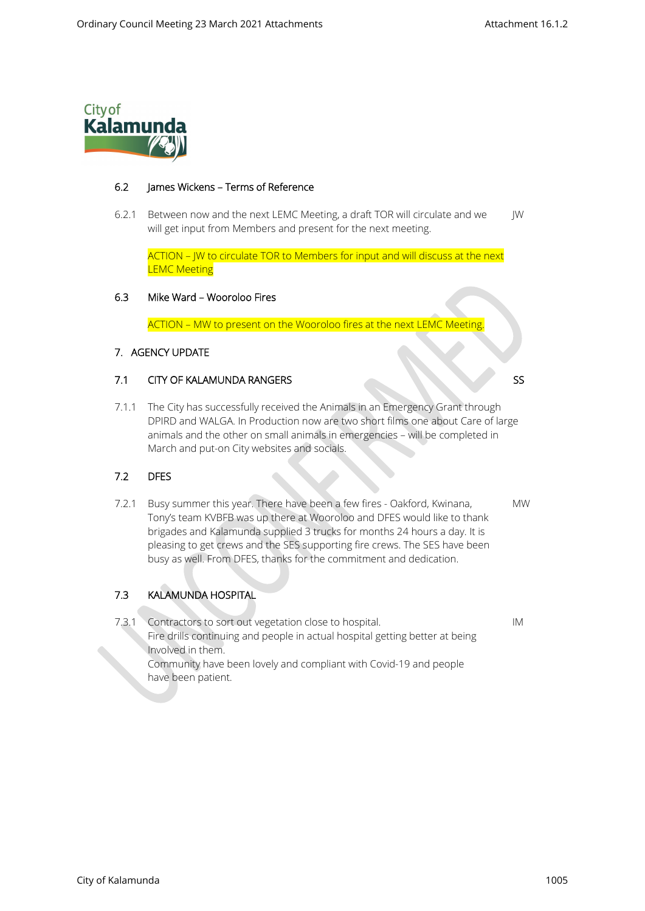

### 6.2 James Wickens – Terms of Reference

6.2.1 Between now and the next LEMC Meeting, a draft TOR will circulate and we JW will get input from Members and present for the next meeting.

ACTION – JW to circulate TOR to Members for input and will discuss at the next **LEMC Meeting** 

### 6.3 Mike Ward – Wooroloo Fires

ACTION – MW to present on the Wooroloo fires at the next LEMC Meeting.

# 7. AGENCY UPDATE

# **7.1 CITY OF KALAMUNDA RANGERS** SS

7.1.1 The City has successfully received the Animals in an Emergency Grant through DPIRD and WALGA. In Production now are two short films one about Care of large animals and the other on small animals in emergencies – will be completed in March and put-on City websites and socials.

# 7.2 DFES

7.2.1 Busy summer this year. There have been a few fires - Oakford, Kwinana, MW Tony's team KVBFB was up there at Wooroloo and DFES would like to thank brigades and Kalamunda supplied 3 trucks for months 24 hours a day. It is pleasing to get crews and the SES supporting fire crews. The SES have been busy as well. From DFES, thanks for the commitment and dedication.

# 7.3 KALAMUNDA HOSPITAL

 7.3.1 Contractors to sort out vegetation close to hospital. IM Fire drills continuing and people in actual hospital getting better at being Involved in them. Community have been lovely and compliant with Covid-19 and people have been patient.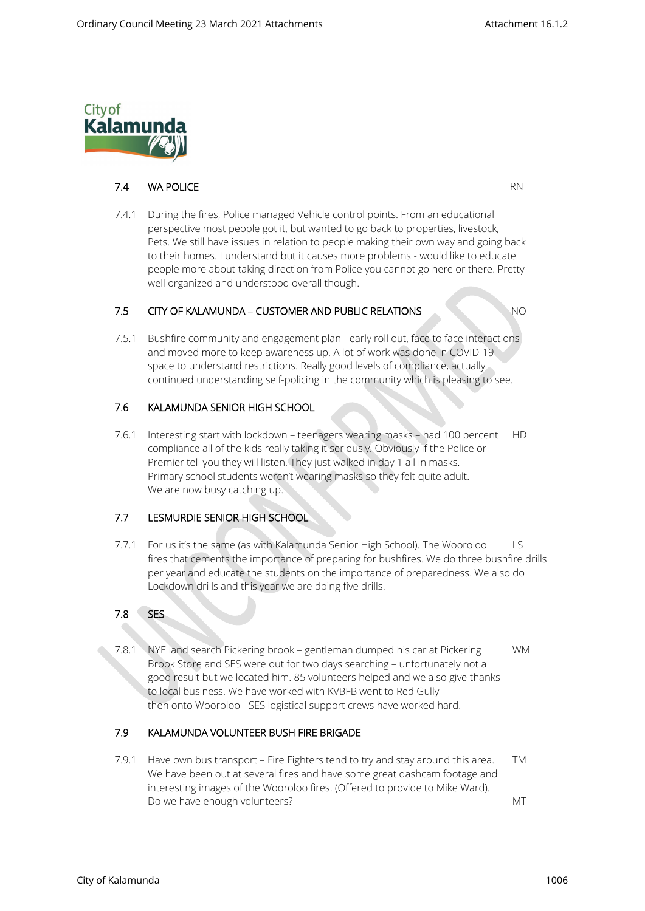

# **7.4 WA POLICE** RN

7.4.1 During the fires, Police managed Vehicle control points. From an educational perspective most people got it, but wanted to go back to properties, livestock, Pets. We still have issues in relation to people making their own way and going back to their homes. I understand but it causes more problems - would like to educate people more about taking direction from Police you cannot go here or there. Pretty well organized and understood overall though.

# 7.5 CITY OF KALAMUNDA – CUSTOMER AND PUBLIC RELATIONS NO

7.5.1 Bushfire community and engagement plan - early roll out, face to face interactions and moved more to keep awareness up. A lot of work was done in COVID-19 space to understand restrictions. Really good levels of compliance, actually continued understanding self-policing in the community which is pleasing to see.

# 7.6 KALAMUNDA SENIOR HIGH SCHOOL

7.6.1 Interesting start with lockdown – teenagers wearing masks – had 100 percent HD compliance all of the kids really taking it seriously. Obviously if the Police or Premier tell you they will listen. They just walked in day 1 all in masks. Primary school students weren't wearing masks so they felt quite adult. We are now busy catching up.

### 7.7 LESMURDIE SENIOR HIGH SCHOOL

7.7.1 For us it's the same (as with Kalamunda Senior High School). The Wooroloo LS fires that cements the importance of preparing for bushfires. We do three bushfire drills per year and educate the students on the importance of preparedness. We also do Lockdown drills and this year we are doing five drills.

### 7.8 SES

7.8.1 NYE land search Pickering brook – gentleman dumped his car at Pickering WM Brook Store and SES were out for two days searching – unfortunately not a good result but we located him. 85 volunteers helped and we also give thanks to local business. We have worked with KVBFB went to Red Gully then onto Wooroloo - SES logistical support crews have worked hard.

### 7.9 KALAMUNDA VOLUNTEER BUSH FIRE BRIGADE

7.9.1 Have own bus transport – Fire Fighters tend to try and stay around this area. TM We have been out at several fires and have some great dashcam footage and interesting images of the Wooroloo fires. (Offered to provide to Mike Ward). Do we have enough volunteers? MT